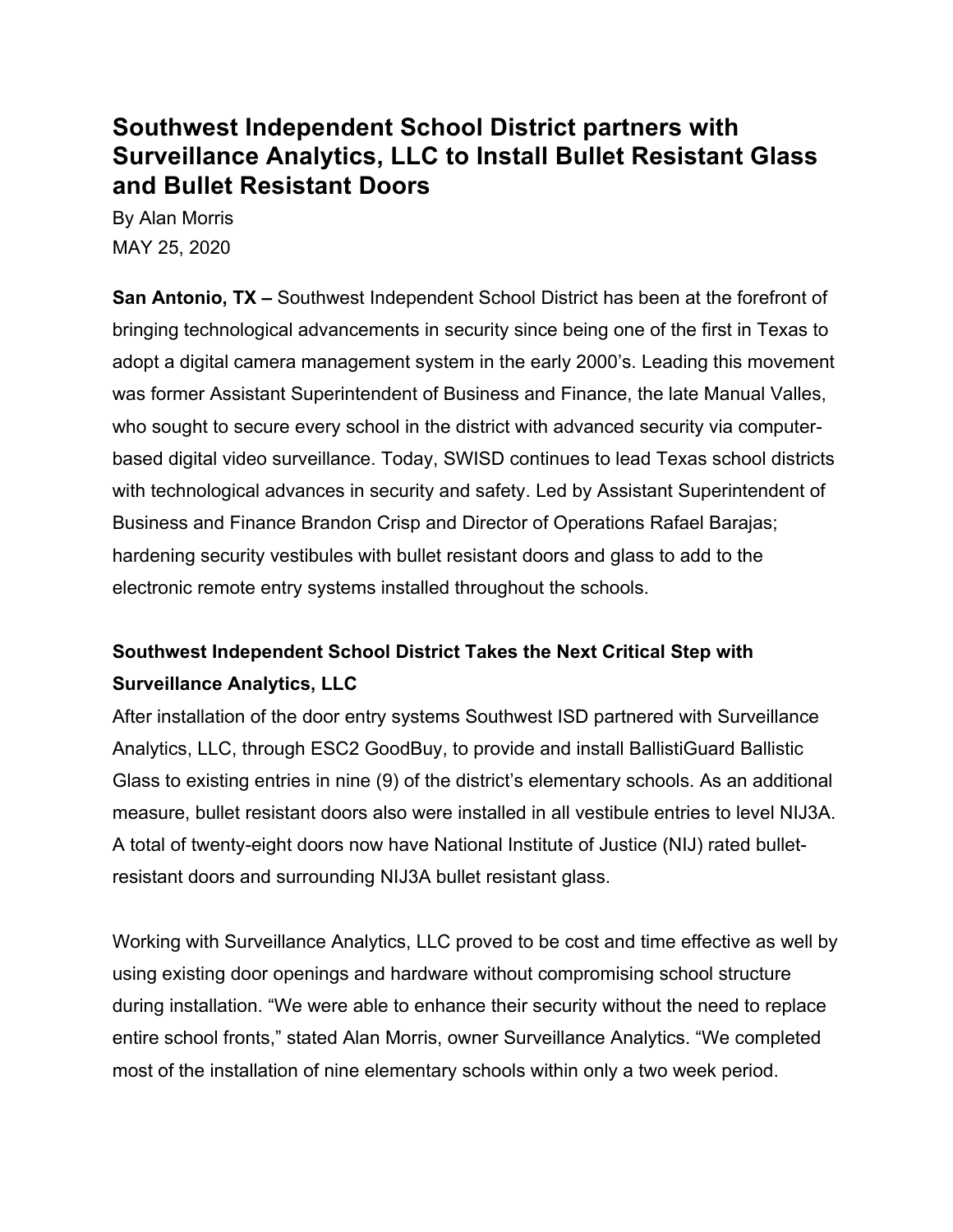# **Southwest Independent School District partners with Surveillance Analytics, LLC to Install Bullet Resistant Glass and Bullet Resistant Doors**

By Alan Morris MAY 25, 2020

**San Antonio, TX –** Southwest Independent School District has been at the forefront of bringing technological advancements in security since being one of the first in Texas to adopt a digital camera management system in the early 2000's. Leading this movement was former Assistant Superintendent of Business and Finance, the late Manual Valles, who sought to secure every school in the district with advanced security via computerbased digital video surveillance. Today, SWISD continues to lead Texas school districts with technological advances in security and safety. Led by Assistant Superintendent of Business and Finance Brandon Crisp and Director of Operations Rafael Barajas; hardening security vestibules with bullet resistant doors and glass to add to the electronic remote entry systems installed throughout the schools.

# **Southwest Independent School District Takes the Next Critical Step with Surveillance Analytics, LLC**

After installation of the door entry systems Southwest ISD partnered with Surveillance Analytics, LLC, through ESC2 GoodBuy, to provide and install BallistiGuard Ballistic Glass to existing entries in nine (9) of the district's elementary schools. As an additional measure, bullet resistant doors also were installed in all vestibule entries to level NIJ3A. A total of twenty-eight doors now have National Institute of Justice (NIJ) rated bulletresistant doors and surrounding NIJ3A bullet resistant glass.

Working with Surveillance Analytics, LLC proved to be cost and time effective as well by using existing door openings and hardware without compromising school structure during installation. "We were able to enhance their security without the need to replace entire school fronts," stated Alan Morris, owner Surveillance Analytics. "We completed most of the installation of nine elementary schools within only a two week period.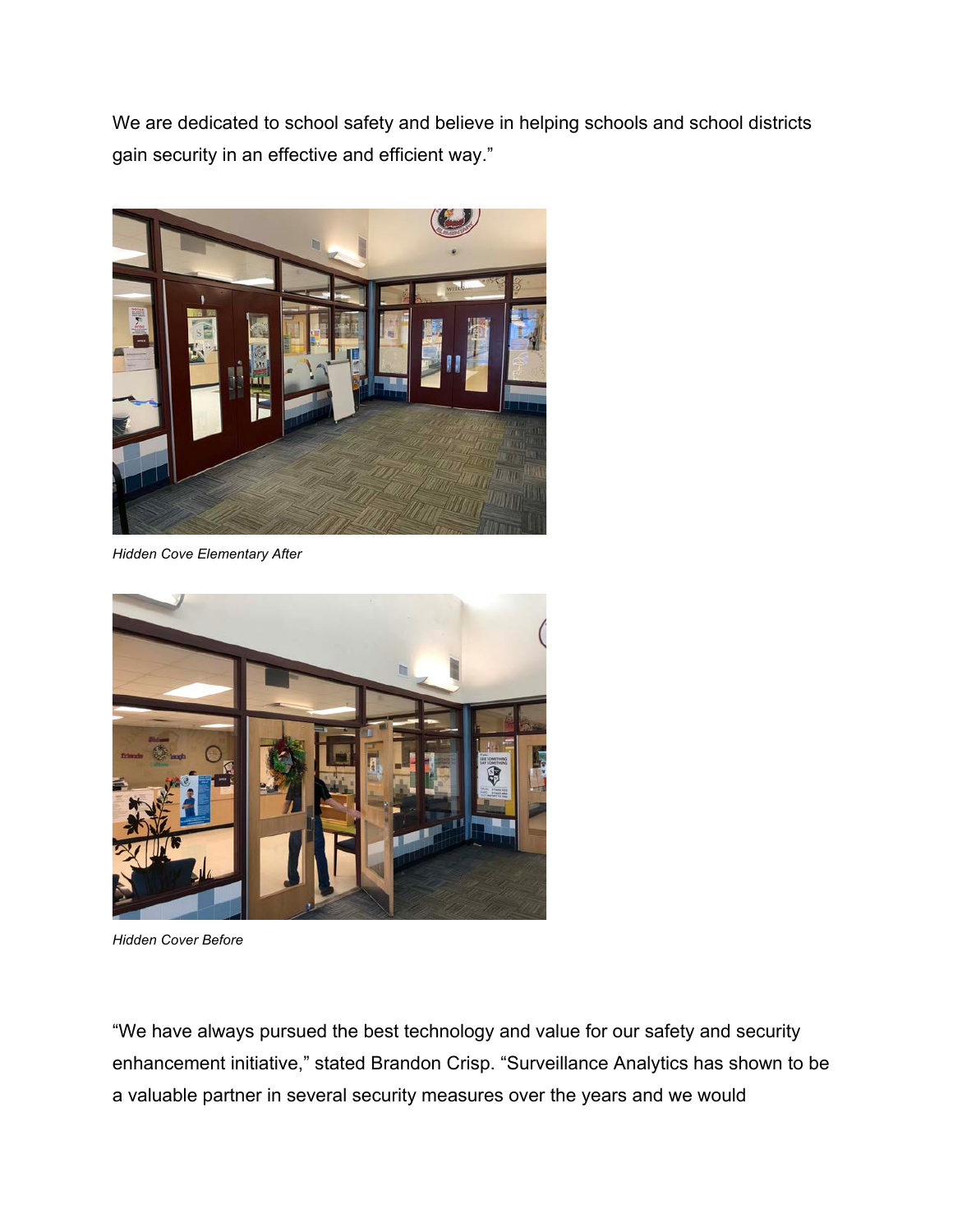We are dedicated to school safety and believe in helping schools and school districts gain security in an effective and efficient way."



*Hidden Cove Elementary After*



*Hidden Cover Before*

"We have always pursued the best technology and value for our safety and security enhancement initiative," stated Brandon Crisp. "Surveillance Analytics has shown to be a valuable partner in several security measures over the years and we would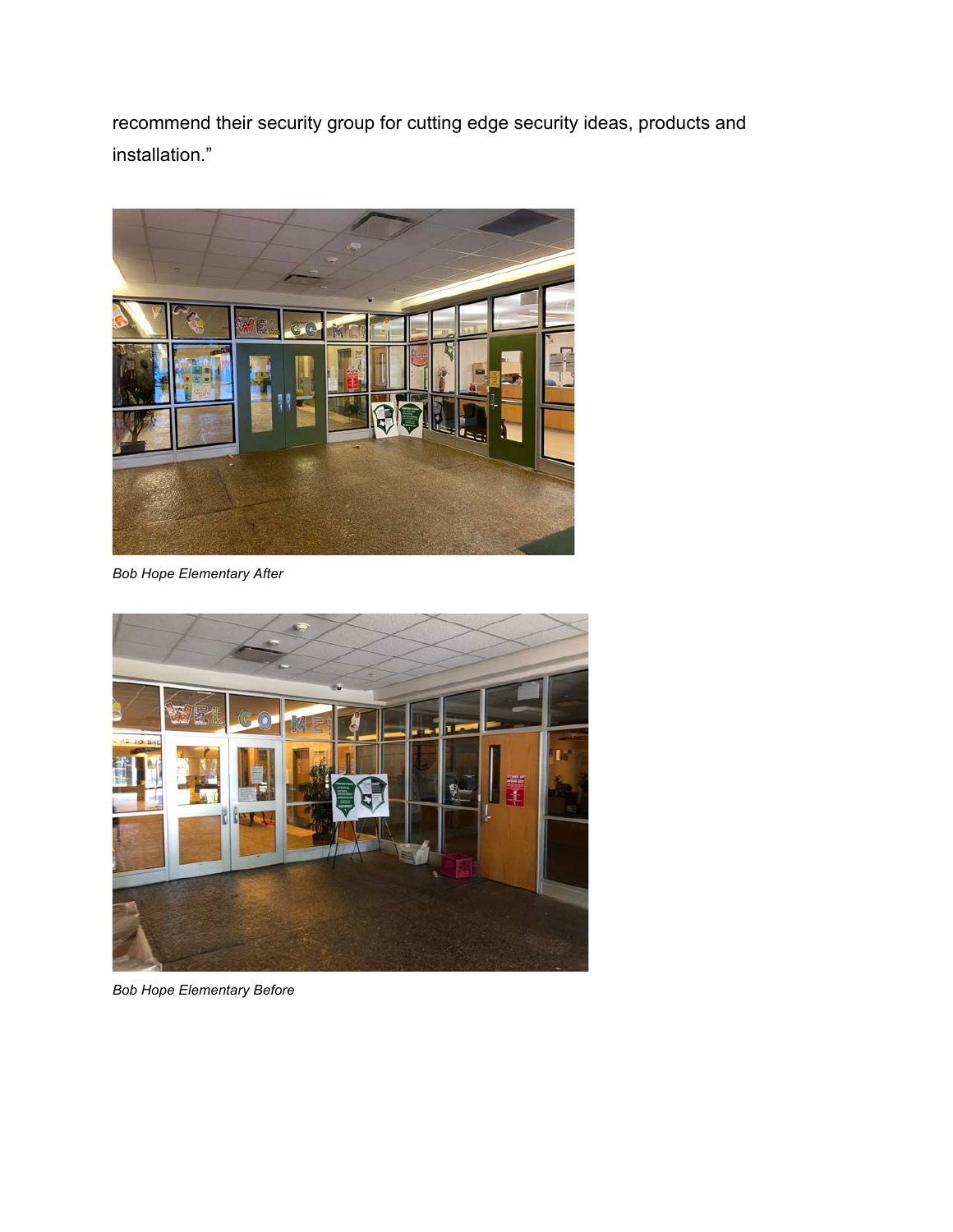recommend their security group for cutting edge security ideas, products and installation."



*Bob Hope Elementary After*



*Bob Hope Elementary Before*